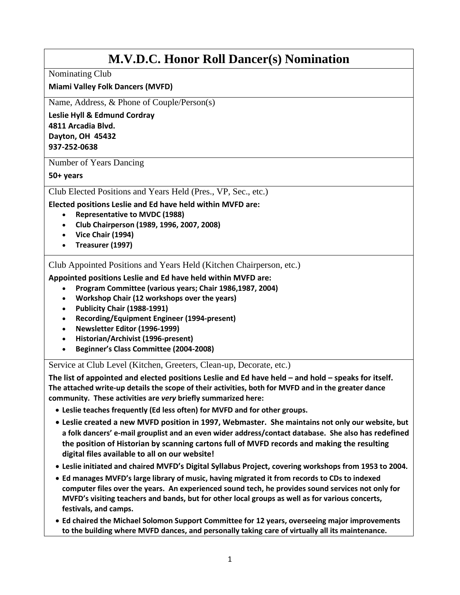# **M.V.D.C. Honor Roll Dancer(s) Nomination**

Nominating Club

### **Miami Valley Folk Dancers (MVFD)**

Name, Address, & Phone of Couple/Person(s)

**Leslie Hyll & Edmund Cordray 4811 Arcadia Blvd. Dayton, OH 45432 937-252-0638**

Number of Years Dancing

**50+ years**

Club Elected Positions and Years Held (Pres., VP, Sec., etc.)

**Elected positions Leslie and Ed have held within MVFD are:**

- **Representative to MVDC (1988)**
- **Club Chairperson (1989, 1996, 2007, 2008)**
- **Vice Chair (1994)**
- **Treasurer (1997)**

Club Appointed Positions and Years Held (Kitchen Chairperson, etc.)

**Appointed positions Leslie and Ed have held within MVFD are:**

- **Program Committee (various years; Chair 1986,1987, 2004)**
- **Workshop Chair (12 workshops over the years)**
- **Publicity Chair (1988-1991)**
- **Recording/Equipment Engineer (1994-present)**
- **Newsletter Editor (1996-1999)**
- **Historian/Archivist (1996-present)**
- **Beginner's Class Committee (2004-2008)**

Service at Club Level (Kitchen, Greeters, Clean-up, Decorate, etc.)

**The list of appointed and elected positions Leslie and Ed have held – and hold – speaks for itself. The attached write-up details the scope of their activities, both for MVFD and in the greater dance community. These activities are** *very* **briefly summarized here:**

- **Leslie teaches frequently (Ed less often) for MVFD and for other groups.**
- **Leslie created a new MVFD position in 1997, Webmaster. She maintains not only our website, but a folk dancers' e-mail grouplist and an even wider address/contact database. She also has redefined the position of Historian by scanning cartons full of MVFD records and making the resulting digital files available to all on our website!**
- **Leslie initiated and chaired MVFD's Digital Syllabus Project, covering workshops from 1953 to 2004.**
- **Ed manages MVFD's large library of music, having migrated it from records to CDs to indexed computer files over the years. An experienced sound tech, he provides sound services not only for MVFD's visiting teachers and bands, but for other local groups as well as for various concerts, festivals, and camps.**
- **Ed chaired the Michael Solomon Support Committee for 12 years, overseeing major improvements to the building where MVFD dances, and personally taking care of virtually all its maintenance.**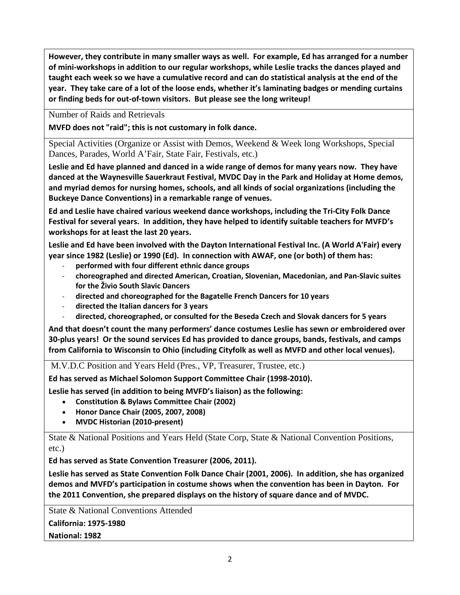**However, they contribute in many smaller ways as well. For example, Ed has arranged for a number of mini-workshops in addition to our regular workshops, while Leslie tracks the dances played and taught each week so we have a cumulative record and can do statistical analysis at the end of the year. They take care of a lot of the loose ends, whether it's laminating badges or mending curtains or finding beds for out-of-town visitors. But please see the long writeup!**

Number of Raids and Retrievals

**MVFD does not "raid"; this is not customary in folk dance.** 

Special Activities (Organize or Assist with Demos, Weekend & Week long Workshops, Special Dances, Parades, World A'Fair, State Fair, Festivals, etc.)

**Leslie and Ed have planned and danced in a wide range of demos for many years now. They have danced at the Waynesville Sauerkraut Festival, MVDC Day in the Park and Holiday at Home demos, and myriad demos for nursing homes, schools, and all kinds of social organizations (including the Buckeye Dance Conventions) in a remarkable range of venues.** 

**Ed and Leslie have chaired various weekend dance workshops, including the Tri-City Folk Dance Festival for several years. In addition, they have helped to identify suitable teachers for MVFD's workshops for at least the last 20 years.** 

**Leslie and Ed have been involved with the Dayton International Festival Inc. (A World A'Fair) every year since 1982 (Leslie) or 1990 (Ed). In connection with AWAF, one (or both) of them has:**

- **performed with four different ethnic dance groups**
- **choreographed and directed American, Croatian, Slovenian, Macedonian, and Pan-Slavic suites for the Živio South Slavic Dancers**
- **directed and choreographed for the Bagatelle French Dancers for 10 years**
- **directed the Italian dancers for 3 years**
- **directed, choreographed, or consulted for the Beseda Czech and Slovak dancers for 5 years**

**And that doesn't count the many performers' dance costumes Leslie has sewn or embroidered over 30-plus years! Or the sound services Ed has provided to dance groups, bands, festivals, and camps from California to Wisconsin to Ohio (including Cityfolk as well as MVFD and other local venues).** 

M.V.D.C Position and Years Held (Pres., VP, Treasurer, Trustee, etc.)

**Ed has served as Michael Solomon Support Committee Chair (1998-2010).**

**Leslie has served (in addition to being MVFD's liaison) as the following:**

- **Constitution & Bylaws Committee Chair (2002)**
- **Honor Dance Chair (2005, 2007, 2008)**
- **MVDC Historian (2010-present)**

State & National Positions and Years Held (State Corp, State & National Convention Positions, etc.)

**Ed has served as State Convention Treasurer (2006, 2011).**

**Leslie has served as State Convention Folk Dance Chair (2001, 2006). In addition, she has organized demos and MVFD's participation in costume shows when the convention has been in Dayton. For the 2011 Convention, she prepared displays on the history of square dance and of MVDC.**

State & National Conventions Attended **California: 1975-1980 National: 1982**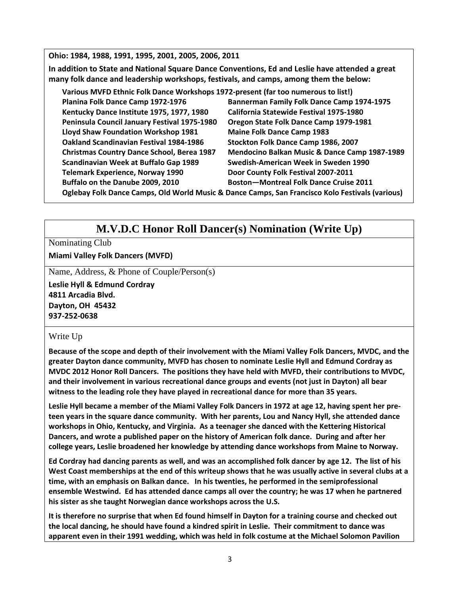**Ohio: 1984, 1988, 1991, 1995, 2001, 2005, 2006, 2011**

**In addition to State and National Square Dance Conventions, Ed and Leslie have attended a great many folk dance and leadership workshops, festivals, and camps, among them the below:** 

| Various MVFD Ethnic Folk Dance Workshops 1972-present (far too numerous to list!)               |                                               |
|-------------------------------------------------------------------------------------------------|-----------------------------------------------|
| Planina Folk Dance Camp 1972-1976                                                               | Bannerman Family Folk Dance Camp 1974-1975    |
| Kentucky Dance Institute 1975, 1977, 1980                                                       | California Statewide Festival 1975-1980       |
| Peninsula Council January Festival 1975-1980                                                    | Oregon State Folk Dance Camp 1979-1981        |
| Lloyd Shaw Foundation Workshop 1981                                                             | <b>Maine Folk Dance Camp 1983</b>             |
| <b>Oakland Scandinavian Festival 1984-1986</b>                                                  | Stockton Folk Dance Camp 1986, 2007           |
| <b>Christmas Country Dance School, Berea 1987</b>                                               | Mendocino Balkan Music & Dance Camp 1987-1989 |
| Scandinavian Week at Buffalo Gap 1989                                                           | Swedish-American Week in Sweden 1990          |
| <b>Telemark Experience, Norway 1990</b>                                                         | Door County Folk Festival 2007-2011           |
| Buffalo on the Danube 2009, 2010                                                                | <b>Boston-Montreal Folk Dance Cruise 2011</b> |
| Oglebay Folk Dance Camps, Old World Music & Dance Camps, San Francisco Kolo Festivals (various) |                                               |

## **M.V.D.C Honor Roll Dancer(s) Nomination (Write Up)**

### Nominating Club

**Miami Valley Folk Dancers (MVFD)**

Name, Address, & Phone of Couple/Person(s)

**Leslie Hyll & Edmund Cordray 4811 Arcadia Blvd. Dayton, OH 45432 937-252-0638**

### Write Up

**Because of the scope and depth of their involvement with the Miami Valley Folk Dancers, MVDC, and the greater Dayton dance community, MVFD has chosen to nominate Leslie Hyll and Edmund Cordray as MVDC 2012 Honor Roll Dancers. The positions they have held with MVFD, their contributions to MVDC, and their involvement in various recreational dance groups and events (not just in Dayton) all bear witness to the leading role they have played in recreational dance for more than 35 years.** 

**Leslie Hyll became a member of the Miami Valley Folk Dancers in 1972 at age 12, having spent her preteen years in the square dance community. With her parents, Lou and Nancy Hyll, she attended dance workshops in Ohio, Kentucky, and Virginia. As a teenager she danced with the Kettering Historical Dancers, and wrote a published paper on the history of American folk dance. During and after her college years, Leslie broadened her knowledge by attending dance workshops from Maine to Norway.** 

**Ed Cordray had dancing parents as well, and was an accomplished folk dancer by age 12. The list of his West Coast memberships at the end of this writeup shows that he was usually active in several clubs at a time, with an emphasis on Balkan dance. In his twenties, he performed in the semiprofessional ensemble Westwind. Ed has attended dance camps all over the country; he was 17 when he partnered his sister as she taught Norwegian dance workshops across the U.S.** 

**It is therefore no surprise that when Ed found himself in Dayton for a training course and checked out the local dancing, he should have found a kindred spirit in Leslie. Their commitment to dance was apparent even in their 1991 wedding, which was held in folk costume at the Michael Solomon Pavilion**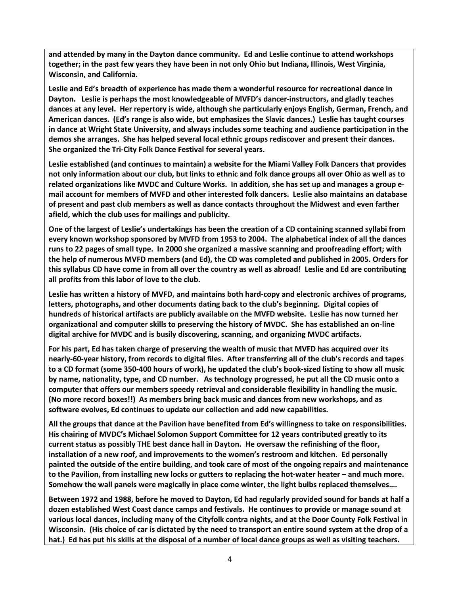**and attended by many in the Dayton dance community. Ed and Leslie continue to attend workshops together; in the past few years they have been in not only Ohio but Indiana, Illinois, West Virginia, Wisconsin, and California.** 

**Leslie and Ed's breadth of experience has made them a wonderful resource for recreational dance in Dayton. Leslie is perhaps the most knowledgeable of MVFD's dancer-instructors, and gladly teaches dances at any level. Her repertory is wide, although she particularly enjoys English, German, French, and American dances. (Ed's range is also wide, but emphasizes the Slavic dances.) Leslie has taught courses in dance at Wright State University, and always includes some teaching and audience participation in the demos she arranges. She has helped several local ethnic groups rediscover and present their dances. She organized the Tri-City Folk Dance Festival for several years.** 

**Leslie established (and continues to maintain) a website for the Miami Valley Folk Dancers that provides not only information about our club, but links to ethnic and folk dance groups all over Ohio as well as to related organizations like MVDC and Culture Works. In addition, she has set up and manages a group email account for members of MVFD and other interested folk dancers. Leslie also maintains an database of present and past club members as well as dance contacts throughout the Midwest and even farther afield, which the club uses for mailings and publicity.** 

**One of the largest of Leslie's undertakings has been the creation of a CD containing scanned syllabi from every known workshop sponsored by MVFD from 1953 to 2004. The alphabetical index of all the dances runs to 22 pages of small type. In 2000 she organized a massive scanning and proofreading effort; with the help of numerous MVFD members (and Ed), the CD was completed and published in 2005. Orders for this syllabus CD have come in from all over the country as well as abroad! Leslie and Ed are contributing all profits from this labor of love to the club.** 

**Leslie has written a history of MVFD, and maintains both hard-copy and electronic archives of programs, letters, photographs, and other documents dating back to the club's beginning. Digital copies of hundreds of historical artifacts are publicly available on the MVFD website. Leslie has now turned her organizational and computer skills to preserving the history of MVDC. She has established an on-line digital archive for MVDC and is busily discovering, scanning, and organizing MVDC artifacts.**

**For his part, Ed has taken charge of preserving the wealth of music that MVFD has acquired over its nearly-60-year history, from records to digital files. After transferring all of the club's records and tapes to a CD format (some 350-400 hours of work), he updated the club's book-sized listing to show all music by name, nationality, type, and CD number. As technology progressed, he put all the CD music onto a computer that offers our members speedy retrieval and considerable flexibility in handling the music. (No more record boxes!!) As members bring back music and dances from new workshops, and as software evolves, Ed continues to update our collection and add new capabilities.** 

**All the groups that dance at the Pavilion have benefited from Ed's willingness to take on responsibilities. His chairing of MVDC's Michael Solomon Support Committee for 12 years contributed greatly to its current status as possibly THE best dance hall in Dayton. He oversaw the refinishing of the floor, installation of a new roof, and improvements to the women's restroom and kitchen. Ed personally painted the outside of the entire building, and took care of most of the ongoing repairs and maintenance to the Pavilion, from installing new locks or gutters to replacing the hot-water heater – and much more. Somehow the wall panels were magically in place come winter, the light bulbs replaced themselves….**

**Between 1972 and 1988, before he moved to Dayton, Ed had regularly provided sound for bands at half a dozen established West Coast dance camps and festivals. He continues to provide or manage sound at various local dances, including many of the Cityfolk contra nights, and at the Door County Folk Festival in Wisconsin. (His choice of car is dictated by the need to transport an entire sound system at the drop of a hat.) Ed has put his skills at the disposal of a number of local dance groups as well as visiting teachers.**